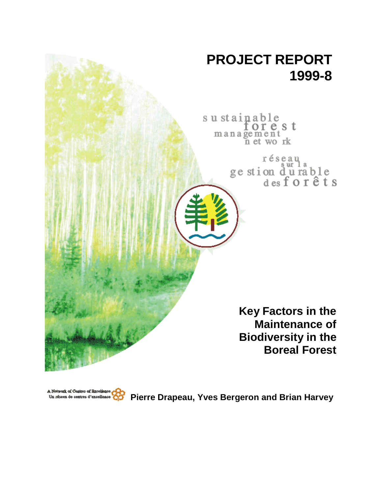

A Network of Centres of Excellence.<br>Un réseau de centres d'excellence **Pierre Drapeau, Yves Bergeron and Brian Harvey**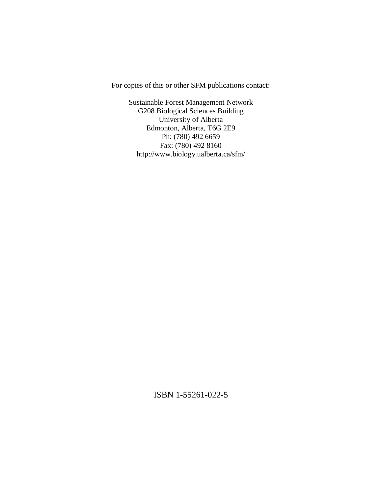For copies of this or other SFM publications contact:

Sustainable Forest Management Network G208 Biological Sciences Building University of Alberta Edmonton, Alberta, T6G 2E9 Ph: (780) 492 6659 Fax: (780) 492 8160 http://www.biology.ualberta.ca/sfm/

ISBN 1-55261-022-5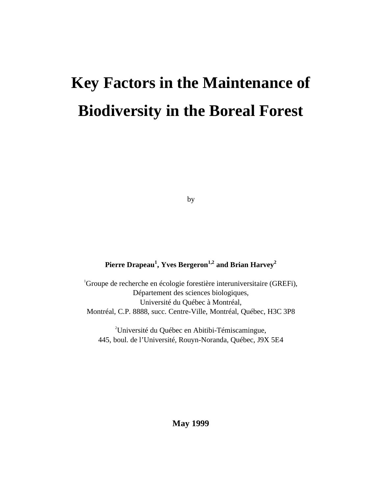# **Key Factors in the Maintenance of Biodiversity in the Boreal Forest**

by

# **Pierre Drapeau<sup>1</sup> , Yves Bergeron1,2 and Brian Harvey2**

1 Groupe de recherche en écologie forestière interuniversitaire (GREFi), Département des sciences biologiques, Université du Québec à Montréal, Montréal, C.P. 8888, succ. Centre-Ville, Montréal, Québec, H3C 3P8

2 Université du Québec en Abitibi-Témiscamingue, 445, boul. de l'Université, Rouyn-Noranda, Québec, J9X 5E4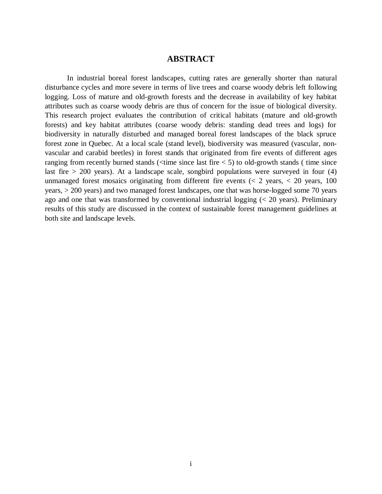## **ABSTRACT**

In industrial boreal forest landscapes, cutting rates are generally shorter than natural disturbance cycles and more severe in terms of live trees and coarse woody debris left following logging. Loss of mature and old-growth forests and the decrease in availability of key habitat attributes such as coarse woody debris are thus of concern for the issue of biological diversity. This research project evaluates the contribution of critical habitats (mature and old-growth forests) and key habitat attributes (coarse woody debris: standing dead trees and logs) for biodiversity in naturally disturbed and managed boreal forest landscapes of the black spruce forest zone in Quebec. At a local scale (stand level), biodiversity was measured (vascular, nonvascular and carabid beetles) in forest stands that originated from fire events of different ages ranging from recently burned stands ( $\langle$ time since last fire  $\langle$  5) to old-growth stands (time since last fire  $> 200$  years). At a landscape scale, songbird populations were surveyed in four (4) unmanaged forest mosaics originating from different fire events  $\langle \langle 2 \rangle$  years,  $\langle 2 \rangle$  years, 100 years, > 200 years) and two managed forest landscapes, one that was horse-logged some 70 years ago and one that was transformed by conventional industrial logging (< 20 years). Preliminary results of this study are discussed in the context of sustainable forest management guidelines at both site and landscape levels.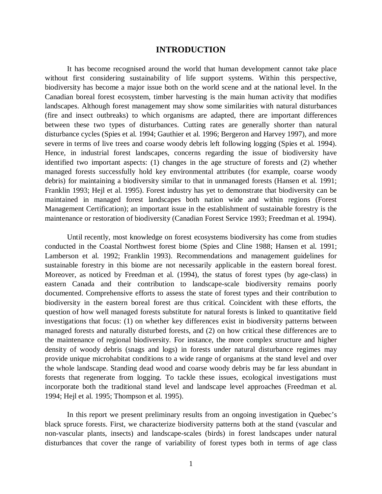## **INTRODUCTION**

It has become recognised around the world that human development cannot take place without first considering sustainability of life support systems. Within this perspective, biodiversity has become a major issue both on the world scene and at the national level. In the Canadian boreal forest ecosystem, timber harvesting is the main human activity that modifies landscapes. Although forest management may show some similarities with natural disturbances (fire and insect outbreaks) to which organisms are adapted, there are important differences between these two types of disturbances. Cutting rates are generally shorter than natural disturbance cycles (Spies et al. 1994; Gauthier et al. 1996; Bergeron and Harvey 1997), and more severe in terms of live trees and coarse woody debris left following logging (Spies et al. 1994). Hence, in industrial forest landscapes, concerns regarding the issue of biodiversity have identified two important aspects: (1) changes in the age structure of forests and (2) whether managed forests successfully hold key environmental attributes (for example, coarse woody debris) for maintaining a biodiversity similar to that in unmanaged forests (Hansen et al. 1991; Franklin 1993; Hejl et al. 1995). Forest industry has yet to demonstrate that biodiversity can be maintained in managed forest landscapes both nation wide and within regions (Forest Management Certification); an important issue in the establishment of sustainable forestry is the maintenance or restoration of biodiversity (Canadian Forest Service 1993; Freedman et al. 1994).

Until recently, most knowledge on forest ecosystems biodiversity has come from studies conducted in the Coastal Northwest forest biome (Spies and Cline 1988; Hansen et al. 1991; Lamberson et al. 1992; Franklin 1993). Recommendations and management guidelines for sustainable forestry in this biome are not necessarily applicable in the eastern boreal forest. Moreover, as noticed by Freedman et al. (1994), the status of forest types (by age-class) in eastern Canada and their contribution to landscape-scale biodiversity remains poorly documented. Comprehensive efforts to assess the state of forest types and their contribution to biodiversity in the eastern boreal forest are thus critical. Coincident with these efforts, the question of how well managed forests substitute for natural forests is linked to quantitative field investigations that focus: (1) on whether key differences exist in biodiversity patterns between managed forests and naturally disturbed forests, and (2) on how critical these differences are to the maintenance of regional biodiversity. For instance, the more complex structure and higher density of woody debris (snags and logs) in forests under natural disturbance regimes may provide unique microhabitat conditions to a wide range of organisms at the stand level and over the whole landscape. Standing dead wood and coarse woody debris may be far less abundant in forests that regenerate from logging. To tackle these issues, ecological investigations must incorporate both the traditional stand level and landscape level approaches (Freedman et al. 1994; Hejl et al. 1995; Thompson et al. 1995).

In this report we present preliminary results from an ongoing investigation in Quebec's black spruce forests. First, we characterize biodiversity patterns both at the stand (vascular and non-vascular plants, insects) and landscape-scales (birds) in forest landscapes under natural disturbances that cover the range of variability of forest types both in terms of age class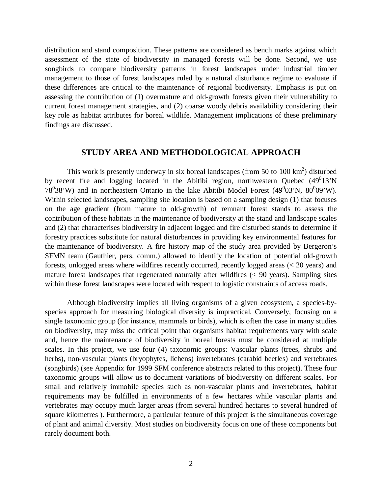distribution and stand composition. These patterns are considered as bench marks against which assessment of the state of biodiversity in managed forests will be done. Second, we use songbirds to compare biodiversity patterns in forest landscapes under industrial timber management to those of forest landscapes ruled by a natural disturbance regime to evaluate if these differences are critical to the maintenance of regional biodiversity. Emphasis is put on assessing the contribution of (1) overmature and old-growth forests given their vulnerability to current forest management strategies, and (2) coarse woody debris availability considering their key role as habitat attributes for boreal wildlife. Management implications of these preliminary findings are discussed.

## **STUDY AREA AND METHODOLOGICAL APPROACH**

This work is presently underway in six boreal landscapes (from 50 to  $100 \text{ km}^2$ ) disturbed by recent fire and logging located in the Abitibi region, northwestern Quebec  $(49^013'N)$ 78<sup>0</sup>38'W) and in northeastern Ontario in the lake Abitibi Model Forest (49<sup>0</sup>03'N, 80<sup>0</sup>09'W). Within selected landscapes, sampling site location is based on a sampling design (1) that focuses on the age gradient (from mature to old-growth) of remnant forest stands to assess the contribution of these habitats in the maintenance of biodiversity at the stand and landscape scales and (2) that characterises biodiversity in adjacent logged and fire disturbed stands to determine if forestry practices substitute for natural disturbances in providing key environmental features for the maintenance of biodiversity. A fire history map of the study area provided by Bergeron's SFMN team (Gauthier, pers. comm.) allowed to identify the location of potential old-growth forests, unlogged areas where wildfires recently occurred, recently logged areas (< 20 years) and mature forest landscapes that regenerated naturally after wildfires (< 90 years). Sampling sites within these forest landscapes were located with respect to logistic constraints of access roads.

Although biodiversity implies all living organisms of a given ecosystem, a species-byspecies approach for measuring biological diversity is impractical. Conversely, focusing on a single taxonomic group (for instance, mammals or birds), which is often the case in many studies on biodiversity, may miss the critical point that organisms habitat requirements vary with scale and, hence the maintenance of biodiversity in boreal forests must be considered at multiple scales. In this project, we use four (4) taxonomic groups: Vascular plants (trees, shrubs and herbs), non-vascular plants (bryophytes, lichens) invertebrates (carabid beetles) and vertebrates (songbirds) (see Appendix for 1999 SFM conference abstracts related to this project). These four taxonomic groups will allow us to document variations of biodiversity on different scales. For small and relatively immobile species such as non-vascular plants and invertebrates, habitat requirements may be fulfilled in environments of a few hectares while vascular plants and vertebrates may occupy much larger areas (from several hundred hectares to several hundred of square kilometres ). Furthermore, a particular feature of this project is the simultaneous coverage of plant and animal diversity. Most studies on biodiversity focus on one of these components but rarely document both.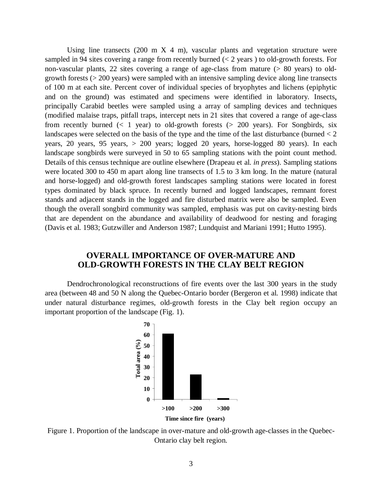Using line transects  $(200 \text{ m X } 4 \text{ m})$ , vascular plants and vegetation structure were sampled in 94 sites covering a range from recently burned  $(< 2$  years) to old-growth forests. For non-vascular plants, 22 sites covering a range of age-class from mature (> 80 years) to oldgrowth forests (> 200 years) were sampled with an intensive sampling device along line transects of 100 m at each site. Percent cover of individual species of bryophytes and lichens (epiphytic and on the ground) was estimated and specimens were identified in laboratory. Insects, principally Carabid beetles were sampled using a array of sampling devices and techniques (modified malaise traps, pitfall traps, intercept nets in 21 sites that covered a range of age-class from recently burned  $(< 1$  year) to old-growth forests  $(> 200$  years). For Songbirds, six landscapes were selected on the basis of the type and the time of the last disturbance (burned  $<$  2 years, 20 years, 95 years, > 200 years; logged 20 years, horse-logged 80 years). In each landscape songbirds were surveyed in 50 to 65 sampling stations with the point count method. Details of this census technique are outline elsewhere (Drapeau et al. *in press*). Sampling stations were located 300 to 450 m apart along line transects of 1.5 to 3 km long. In the mature (natural and horse-logged) and old-growth forest landscapes sampling stations were located in forest types dominated by black spruce. In recently burned and logged landscapes, remnant forest stands and adjacent stands in the logged and fire disturbed matrix were also be sampled. Even though the overall songbird community was sampled, emphasis was put on cavity-nesting birds that are dependent on the abundance and availability of deadwood for nesting and foraging (Davis et al. 1983; Gutzwiller and Anderson 1987; Lundquist and Mariani 1991; Hutto 1995).

# **OVERALL IMPORTANCE OF OVER-MATURE AND OLD-GROWTH FORESTS IN THE CLAY BELT REGION**

Dendrochronological reconstructions of fire events over the last 300 years in the study area (between 48 and 50 N along the Quebec-Ontario border (Bergeron et al. 1998) indicate that under natural disturbance regimes, old-growth forests in the Clay belt region occupy an important proportion of the landscape (Fig. 1).



Figure 1. Proportion of the landscape in over-mature and old-growth age-classes in the Quebec-Ontario clay belt region.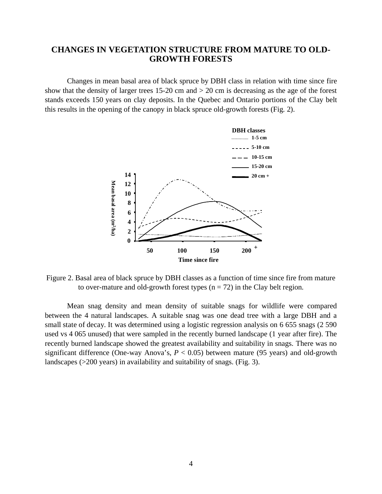# **CHANGES IN VEGETATION STRUCTURE FROM MATURE TO OLD-GROWTH FORESTS**

Changes in mean basal area of black spruce by DBH class in relation with time since fire show that the density of larger trees 15-20 cm and > 20 cm is decreasing as the age of the forest stands exceeds 150 years on clay deposits. In the Quebec and Ontario portions of the Clay belt this results in the opening of the canopy in black spruce old-growth forests (Fig. 2).



Figure 2. Basal area of black spruce by DBH classes as a function of time since fire from mature to over-mature and old-growth forest types  $(n = 72)$  in the Clay belt region.

Mean snag density and mean density of suitable snags for wildlife were compared between the 4 natural landscapes. A suitable snag was one dead tree with a large DBH and a small state of decay. It was determined using a logistic regression analysis on 6 655 snags (2 590 used vs 4 065 unused) that were sampled in the recently burned landscape (1 year after fire). The recently burned landscape showed the greatest availability and suitability in snags. There was no significant difference (One-way Anova's,  $P < 0.05$ ) between mature (95 years) and old-growth landscapes (>200 years) in availability and suitability of snags. (Fig. 3).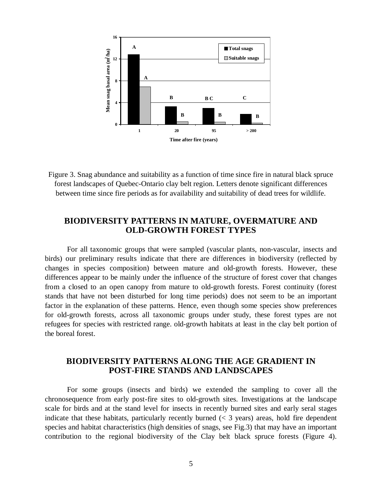

Figure 3. Snag abundance and suitability as a function of time since fire in natural black spruce forest landscapes of Quebec-Ontario clay belt region. Letters denote significant differences between time since fire periods as for availability and suitability of dead trees for wildlife.

# **BIODIVERSITY PATTERNS IN MATURE, OVERMATURE AND OLD-GROWTH FOREST TYPES**

For all taxonomic groups that were sampled (vascular plants, non-vascular, insects and birds) our preliminary results indicate that there are differences in biodiversity (reflected by changes in species composition) between mature and old-growth forests. However, these differences appear to be mainly under the influence of the structure of forest cover that changes from a closed to an open canopy from mature to old-growth forests. Forest continuity (forest stands that have not been disturbed for long time periods) does not seem to be an important factor in the explanation of these patterns. Hence, even though some species show preferences for old-growth forests, across all taxonomic groups under study, these forest types are not refugees for species with restricted range. old-growth habitats at least in the clay belt portion of the boreal forest.

# **BIODIVERSITY PATTERNS ALONG THE AGE GRADIENT IN POST-FIRE STANDS AND LANDSCAPES**

For some groups (insects and birds) we extended the sampling to cover all the chronosequence from early post-fire sites to old-growth sites. Investigations at the landscape scale for birds and at the stand level for insects in recently burned sites and early seral stages indicate that these habitats, particularly recently burned  $(< 3$  years) areas, hold fire dependent species and habitat characteristics (high densities of snags, see Fig.3) that may have an important contribution to the regional biodiversity of the Clay belt black spruce forests (Figure 4).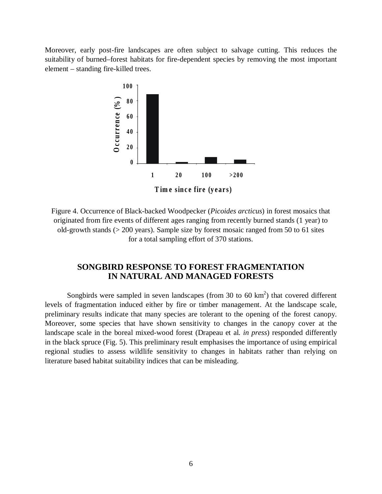Moreover, early post-fire landscapes are often subject to salvage cutting. This reduces the suitability of burned–forest habitats for fire-dependent species by removing the most important element – standing fire-killed trees.



Figure 4. Occurrence of Black-backed Woodpecker (*Picoides arcticus*) in forest mosaics that originated from fire events of different ages ranging from recently burned stands (1 year) to old-growth stands (> 200 years). Sample size by forest mosaic ranged from 50 to 61 sites for a total sampling effort of 370 stations.

# **SONGBIRD RESPONSE TO FOREST FRAGMENTATION IN NATURAL AND MANAGED FORESTS**

Songbirds were sampled in seven landscapes (from 30 to 60  $km<sup>2</sup>$ ) that covered different levels of fragmentation induced either by fire or timber management. At the landscape scale, preliminary results indicate that many species are tolerant to the opening of the forest canopy. Moreover, some species that have shown sensitivity to changes in the canopy cover at the landscape scale in the boreal mixed-wood forest (Drapeau et al. *in press*) responded differently in the black spruce (Fig. 5). This preliminary result emphasises the importance of using empirical regional studies to assess wildlife sensitivity to changes in habitats rather than relying on literature based habitat suitability indices that can be misleading.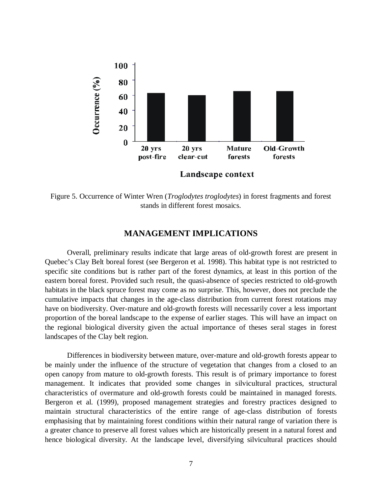

Figure 5. Occurrence of Winter Wren (*Troglodytes troglodytes*) in forest fragments and forest stands in different forest mosaics.

## **MANAGEMENT IMPLICATIONS**

Overall, preliminary results indicate that large areas of old-growth forest are present in Quebec's Clay Belt boreal forest (see Bergeron et al. 1998). This habitat type is not restricted to specific site conditions but is rather part of the forest dynamics, at least in this portion of the eastern boreal forest. Provided such result, the quasi-absence of species restricted to old-growth habitats in the black spruce forest may come as no surprise. This, however, does not preclude the cumulative impacts that changes in the age-class distribution from current forest rotations may have on biodiversity. Over-mature and old-growth forests will necessarily cover a less important proportion of the boreal landscape to the expense of earlier stages. This will have an impact on the regional biological diversity given the actual importance of theses seral stages in forest landscapes of the Clay belt region.

Differences in biodiversity between mature, over-mature and old-growth forests appear to be mainly under the influence of the structure of vegetation that changes from a closed to an open canopy from mature to old-growth forests. This result is of primary importance to forest management. It indicates that provided some changes in silvicultural practices, structural characteristics of overmature and old-growth forests could be maintained in managed forests. Bergeron et al. (1999), proposed management strategies and forestry practices designed to maintain structural characteristics of the entire range of age-class distribution of forests emphasising that by maintaining forest conditions within their natural range of variation there is a greater chance to preserve all forest values which are historically present in a natural forest and hence biological diversity. At the landscape level, diversifying silvicultural practices should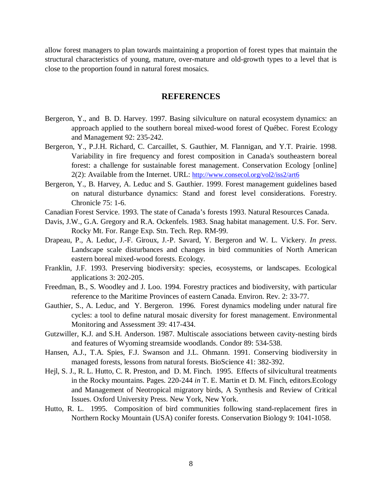allow forest managers to plan towards maintaining a proportion of forest types that maintain the structural characteristics of young, mature, over-mature and old-growth types to a level that is close to the proportion found in natural forest mosaics.

## **REFERENCES**

- Bergeron, Y., and B. D. Harvey. 1997. Basing silviculture on natural ecosystem dynamics: an approach applied to the southern boreal mixed-wood forest of Québec. Forest Ecology and Management 92: 235-242.
- Bergeron, Y., P.J.H. Richard, C. Carcaillet, S. Gauthier, M. Flannigan, and Y.T. Prairie. 1998. Variability in fire frequency and forest composition in Canada's southeastern boreal forest: a challenge for sustainable forest management. Conservation Ecology [online] 2(2): Available from the Internet. URL: http://www.consecol.org/vol2/iss2/art6
- Bergeron, Y., B. Harvey, A. Leduc and S. Gauthier. 1999. Forest management guidelines based on natural disturbance dynamics: Stand and forest level considerations. Forestry. Chronicle 75: 1-6.
- Canadian Forest Service. 1993. The state of Canada's forests 1993. Natural Resources Canada.
- Davis, J.W., G.A. Gregory and R.A. Ockenfels. 1983. Snag habitat management. U.S. For. Serv. Rocky Mt. For. Range Exp. Stn. Tech. Rep. RM-99.
- Drapeau, P., A. Leduc, J.-F. Giroux, J.-P. Savard, Y. Bergeron and W. L. Vickery*. In press*. Landscape scale disturbances and changes in bird communities of North American eastern boreal mixed-wood forests. Ecology.
- Franklin, J.F. 1993. Preserving biodiversity: species, ecosystems, or landscapes. Ecological applications 3: 202-205.
- Freedman, B., S. Woodley and J. Loo. 1994. Forestry practices and biodiversity, with particular reference to the Maritime Provinces of eastern Canada. Environ. Rev. 2: 33-77.
- Gauthier, S., A. Leduc, and Y. Bergeron. 1996. Forest dynamics modeling under natural fire cycles: a tool to define natural mosaic diversity for forest management. Environmental Monitoring and Assessment 39: 417-434.
- Gutzwiller, K.J. and S.H. Anderson. 1987. Multiscale associations between cavity-nesting birds and features of Wyoming streamside woodlands. Condor 89: 534-538.
- Hansen, A.J., T.A. Spies, F.J. Swanson and J.L. Ohmann. 1991. Conserving biodiversity in managed forests, lessons from natural forests. BioScience 41: 382-392.
- Hejl, S. J., R. L. Hutto, C. R. Preston, and D. M. Finch. 1995. Effects of silvicultural treatments in the Rocky mountains. Pages. 220-244 *in* T. E. Martin et D. M. Finch, editors.Ecology and Management of Neotropical migratory birds, A Synthesis and Review of Critical Issues. Oxford University Press. New York, New York.
- Hutto, R. L. 1995. Composition of bird communities following stand-replacement fires in Northern Rocky Mountain (USA) conifer forests. Conservation Biology 9: 1041-1058.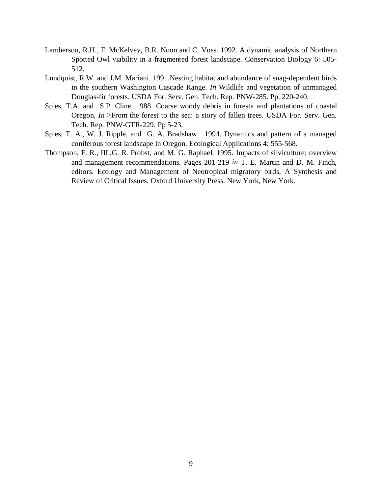- Lamberson, R.H., F. McKelvey, B.R. Noon and C. Voss. 1992. A dynamic analysis of Northern Spotted Owl viability in a fragmented forest landscape. Conservation Biology 6: 505- 512.
- Lundquist, R.W. and J.M. Mariani. 1991.Nesting habitat and abundance of snag-dependent birds in the southern Washington Cascade Range. *In* Wildlife and vegetation of unmanaged Douglas-fir forests. USDA For. Serv. Gen. Tech. Rep. PNW-285. Pp. 220-240.
- Spies, T.A. and S.P. Cline. 1988. Coarse woody debris in forests and plantations of coastal Oregon. *In* >From the forest to the sea: a story of fallen trees. USDA For. Serv. Gen. Tech. Rep. PNW-GTR-229. Pp 5-23.
- Spies, T. A., W. J. Ripple, and G. A. Bradshaw. 1994. Dynamics and pattern of a managed coniferous forest landscape in Oregon. Ecological Applications 4: 555-568.
- Thompson, F. R., III.,G. R. Probst, and M. G. Raphael. 1995. Impacts of silviculture: overview and management recommendations. Pages 201-219 *in* T. E. Martin and D. M. Finch, editors. Ecology and Management of Neotropical migratory birds, A Synthesis and Review of Critical Issues. Oxford University Press. New York, New York.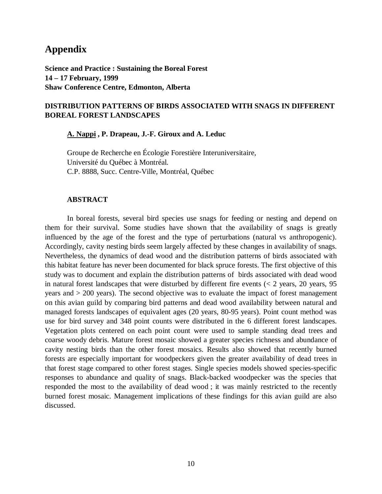# **Appendix**

**Science and Practice : Sustaining the Boreal Forest 14 – 17 February, 1999 Shaw Conference Centre, Edmonton, Alberta**

## **DISTRIBUTION PATTERNS OF BIRDS ASSOCIATED WITH SNAGS IN DIFFERENT BOREAL FOREST LANDSCAPES**

**A. Nappi , P. Drapeau, J.-F. Giroux and A. Leduc**

Groupe de Recherche en Écologie Forestière Interuniversitaire, Université du Québec à Montréal. C.P. 8888, Succ. Centre-Ville, Montréal, Québec

#### **ABSTRACT**

In boreal forests, several bird species use snags for feeding or nesting and depend on them for their survival. Some studies have shown that the availability of snags is greatly influenced by the age of the forest and the type of perturbations (natural vs anthropogenic). Accordingly, cavity nesting birds seem largely affected by these changes in availability of snags. Nevertheless, the dynamics of dead wood and the distribution patterns of birds associated with this habitat feature has never been documented for black spruce forests. The first objective of this study was to document and explain the distribution patterns of birds associated with dead wood in natural forest landscapes that were disturbed by different fire events  $(< 2$  years, 20 years, 95 years and > 200 years). The second objective was to evaluate the impact of forest management on this avian guild by comparing bird patterns and dead wood availability between natural and managed forests landscapes of equivalent ages (20 years, 80-95 years). Point count method was use for bird survey and 348 point counts were distributed in the 6 different forest landscapes. Vegetation plots centered on each point count were used to sample standing dead trees and coarse woody debris. Mature forest mosaic showed a greater species richness and abundance of cavity nesting birds than the other forest mosaics. Results also showed that recently burned forests are especially important for woodpeckers given the greater availability of dead trees in that forest stage compared to other forest stages. Single species models showed species-specific responses to abundance and quality of snags. Black-backed woodpecker was the species that responded the most to the availability of dead wood ; it was mainly restricted to the recently burned forest mosaic. Management implications of these findings for this avian guild are also discussed.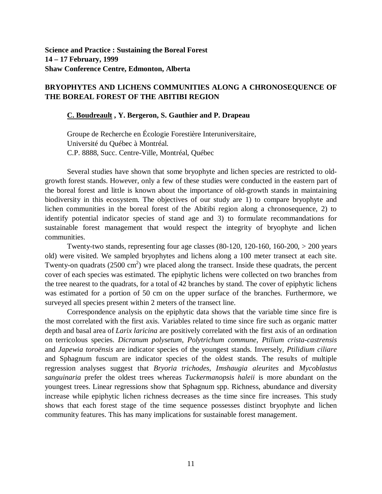## **BRYOPHYTES AND LICHENS COMMUNITIES ALONG A CHRONOSEQUENCE OF THE BOREAL FOREST OF THE ABITIBI REGION**

#### **C. Boudreault , Y. Bergeron, S. Gauthier and P. Drapeau**

Groupe de Recherche en Écologie Forestière Interuniversitaire, Université du Québec à Montréal. C.P. 8888, Succ. Centre-Ville, Montréal, Québec

Several studies have shown that some bryophyte and lichen species are restricted to oldgrowth forest stands. However, only a few of these studies were conducted in the eastern part of the boreal forest and little is known about the importance of old-growth stands in maintaining biodiversity in this ecosystem. The objectives of our study are 1) to compare bryophyte and lichen communities in the boreal forest of the Abitibi region along a chronosequence, 2) to identify potential indicator species of stand age and 3) to formulate recommandations for sustainable forest management that would respect the integrity of bryophyte and lichen communities.

Twenty-two stands, representing four age classes (80-120, 120-160, 160-200, > 200 years old) were visited. We sampled bryophytes and lichens along a 100 meter transect at each site. Twenty-on quadrats  $(2500 \text{ cm}^2)$  wre placed along the transect. Inside these quadrats, the percent cover of each species was estimated. The epiphytic lichens were collected on two branches from the tree nearest to the quadrats, for a total of 42 branches by stand. The cover of epiphytic lichens was estimated for a portion of 50 cm on the upper surface of the branches. Furthermore, we surveyed all species present within 2 meters of the transect line.

Correspondence analysis on the epiphytic data shows that the variable time since fire is the most correlated with the first axis. Variables related to time since fire such as organic matter depth and basal area of *Larix laricina* are positively correlated with the first axis of an ordination on terricolous species. *Dicranum polysetum*, *Polytrichum commune*, *Ptilium crista-castrensis* and *Japewia toroënsis* are indicator species of the youngest stands. Inversely, *Ptilidium ciliare* and Sphagnum fuscum are indicator species of the oldest stands. The results of multiple regression analyses suggest that *Bryoria trichodes*, *Imshaugia aleurites* and *Mycoblastus sanguinaria* prefer the oldest trees whereas *Tuckermanopsis haleii* is more abundant on the youngest trees. Linear regressions show that Sphagnum spp. Richness, abundance and diversity increase while epiphytic lichen richness decreases as the time since fire increases. This study shows that each forest stage of the time sequence possesses distinct bryophyte and lichen community features. This has many implications for sustainable forest management.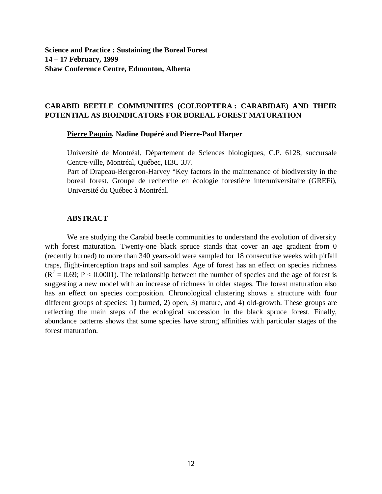**Science and Practice : Sustaining the Boreal Forest 14 – 17 February, 1999 Shaw Conference Centre, Edmonton, Alberta**

## **CARABID BEETLE COMMUNITIES (COLEOPTERA : CARABIDAE) AND THEIR POTENTIAL AS BIOINDICATORS FOR BOREAL FOREST MATURATION**

#### **Pierre Paquin, Nadine Dupéré and Pierre-Paul Harper**

Université de Montréal, Département de Sciences biologiques, C.P. 6128, succursale Centre-ville, Montréal, Québec, H3C 3J7.

Part of Drapeau-Bergeron-Harvey "Key factors in the maintenance of biodiversity in the boreal forest. Groupe de recherche en écologie forestière interuniversitaire (GREFi), Université du Québec à Montréal.

#### **ABSTRACT**

We are studying the Carabid beetle communities to understand the evolution of diversity with forest maturation. Twenty-one black spruce stands that cover an age gradient from 0 (recently burned) to more than 340 years-old were sampled for 18 consecutive weeks with pitfall traps, flight-interception traps and soil samples. Age of forest has an effect on species richness  $(R<sup>2</sup> = 0.69; P < 0.0001)$ . The relationship between the number of species and the age of forest is suggesting a new model with an increase of richness in older stages. The forest maturation also has an effect on species composition. Chronological clustering shows a structure with four different groups of species: 1) burned, 2) open, 3) mature, and 4) old-growth. These groups are reflecting the main steps of the ecological succession in the black spruce forest. Finally, abundance patterns shows that some species have strong affinities with particular stages of the forest maturation.